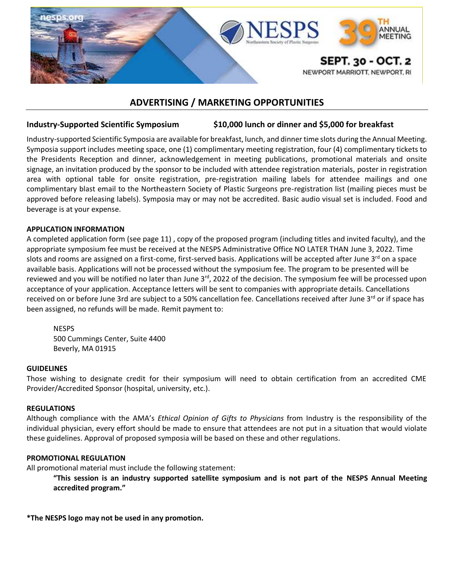

# **ADVERTISING / MARKETING OPPORTUNITIES**

# **Industry-Supported Scientific Symposium \$10,000 lunch or dinner and \$5,000 for breakfast**

Industry-supported Scientific Symposia are available for breakfast, lunch, and dinner time slots during the Annual Meeting. Symposia support includes meeting space, one (1) complimentary meeting registration, four (4) complimentary tickets to the Presidents Reception and dinner, acknowledgement in meeting publications, promotional materials and onsite signage, an invitation produced by the sponsor to be included with attendee registration materials, poster in registration area with optional table for onsite registration, pre-registration mailing labels for attendee mailings and one complimentary blast email to the Northeastern Society of Plastic Surgeons pre-registration list (mailing pieces must be approved before releasing labels). Symposia may or may not be accredited. Basic audio visual set is included. Food and beverage is at your expense.

#### **APPLICATION INFORMATION**

A completed application form (see page 11) , copy of the proposed program (including titles and invited faculty), and the appropriate symposium fee must be received at the NESPS Administrative Office NO LATER THAN June 3, 2022. Time slots and rooms are assigned on a first-come, first-served basis. Applications will be accepted after June 3<sup>rd</sup> on a space available basis. Applications will not be processed without the symposium fee. The program to be presented will be reviewed and you will be notified no later than June 3<sup>rd</sup>, 2022 of the decision. The symposium fee will be processed upon acceptance of your application. Acceptance letters will be sent to companies with appropriate details. Cancellations received on or before June 3rd are subject to a 50% cancellation fee. Cancellations received after June 3<sup>rd</sup> or if space has been assigned, no refunds will be made. Remit payment to:

### NESPS 500 Cummings Center, Suite 4400

Beverly, MA 01915

### **GUIDELINES**

Those wishing to designate credit for their symposium will need to obtain certification from an accredited CME Provider/Accredited Sponsor (hospital, university, etc.).

### **REGULATIONS**

Although compliance with the AMA's *Ethical Opinion of Gifts to Physicians* from Industry is the responsibility of the individual physician, every effort should be made to ensure that attendees are not put in a situation that would violate these guidelines. Approval of proposed symposia will be based on these and other regulations.

### **PROMOTIONAL REGULATION**

All promotional material must include the following statement:

**"This session is an industry supported satellite symposium and is not part of the NESPS Annual Meeting accredited program."**

**\*The NESPS logo may not be used in any promotion.**